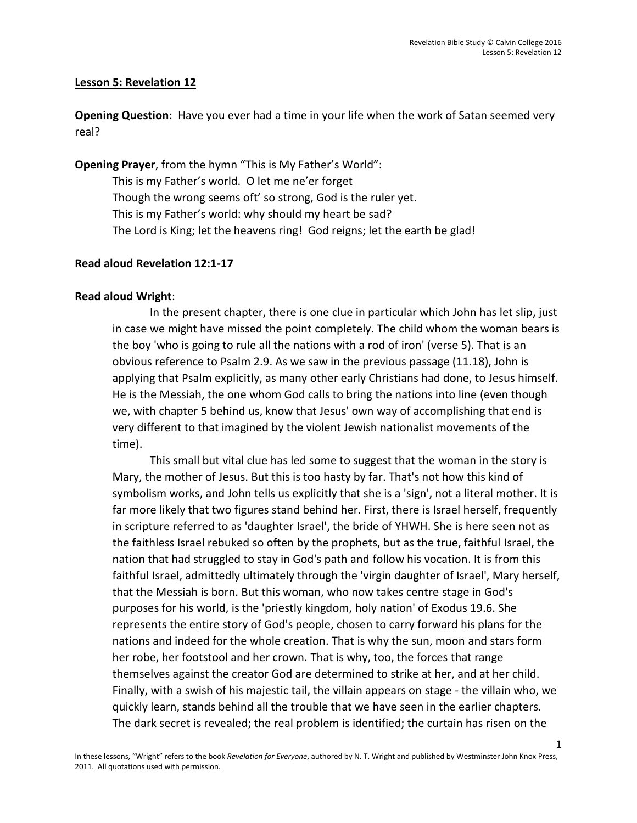## **Lesson 5: Revelation 12**

**Opening Question**: Have you ever had a time in your life when the work of Satan seemed very real?

**Opening Prayer**, from the hymn "This is My Father's World": This is my Father's world. O let me ne'er forget Though the wrong seems oft' so strong, God is the ruler yet. This is my Father's world: why should my heart be sad? The Lord is King; let the heavens ring! God reigns; let the earth be glad!

## **Read aloud Revelation 12:1-17**

# **Read aloud Wright**:

In the present chapter, there is one clue in particular which John has let slip, just in case we might have missed the point completely. The child whom the woman bears is the boy 'who is going to rule all the nations with a rod of iron' (verse 5). That is an obvious reference to Psalm 2.9. As we saw in the previous passage (11.18), John is applying that Psalm explicitly, as many other early Christians had done, to Jesus himself. He is the Messiah, the one whom God calls to bring the nations into line (even though we, with chapter 5 behind us, know that Jesus' own way of accomplishing that end is very different to that imagined by the violent Jewish nationalist movements of the time).

This small but vital clue has led some to suggest that the woman in the story is Mary, the mother of Jesus. But this is too hasty by far. That's not how this kind of symbolism works, and John tells us explicitly that she is a 'sign', not a literal mother. It is far more likely that two figures stand behind her. First, there is Israel herself, frequently in scripture referred to as 'daughter Israel', the bride of YHWH. She is here seen not as the faithless Israel rebuked so often by the prophets, but as the true, faithful Israel, the nation that had struggled to stay in God's path and follow his vocation. It is from this faithful Israel, admittedly ultimately through the 'virgin daughter of Israel', Mary herself, that the Messiah is born. But this woman, who now takes centre stage in God's purposes for his world, is the 'priestly kingdom, holy nation' of Exodus 19.6. She represents the entire story of God's people, chosen to carry forward his plans for the nations and indeed for the whole creation. That is why the sun, moon and stars form her robe, her footstool and her crown. That is why, too, the forces that range themselves against the creator God are determined to strike at her, and at her child. Finally, with a swish of his majestic tail, the villain appears on stage - the villain who, we quickly learn, stands behind all the trouble that we have seen in the earlier chapters. The dark secret is revealed; the real problem is identified; the curtain has risen on the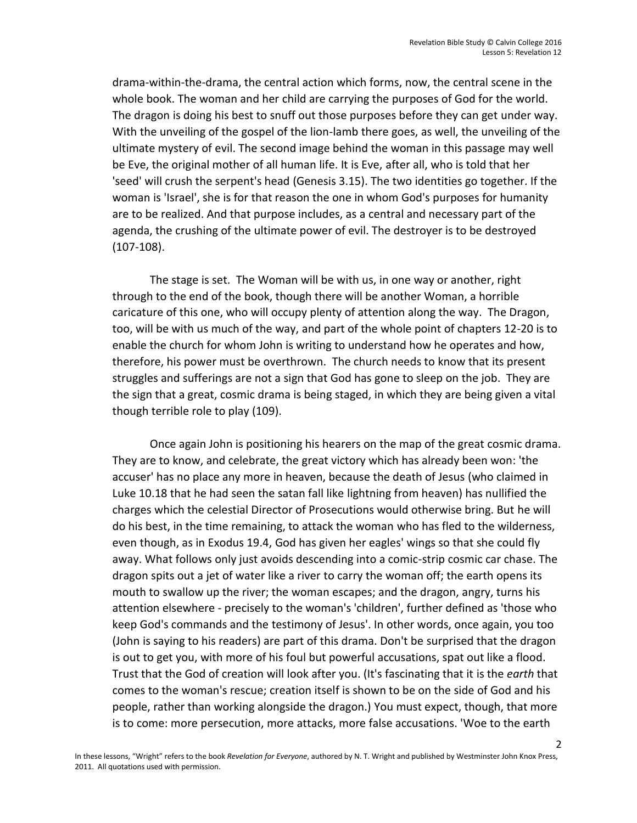drama-within-the-drama, the central action which forms, now, the central scene in the whole book. The woman and her child are carrying the purposes of God for the world. The dragon is doing his best to snuff out those purposes before they can get under way. With the unveiling of the gospel of the lion-lamb there goes, as well, the unveiling of the ultimate mystery of evil. The second image behind the woman in this passage may well be Eve, the original mother of all human life. It is Eve, after all, who is told that her 'seed' will crush the serpent's head (Genesis 3.15). The two identities go together. If the woman is 'Israel', she is for that reason the one in whom God's purposes for humanity are to be realized. And that purpose includes, as a central and necessary part of the agenda, the crushing of the ultimate power of evil. The destroyer is to be destroyed (107-108).

The stage is set. The Woman will be with us, in one way or another, right through to the end of the book, though there will be another Woman, a horrible caricature of this one, who will occupy plenty of attention along the way. The Dragon, too, will be with us much of the way, and part of the whole point of chapters 12-20 is to enable the church for whom John is writing to understand how he operates and how, therefore, his power must be overthrown. The church needs to know that its present struggles and sufferings are not a sign that God has gone to sleep on the job. They are the sign that a great, cosmic drama is being staged, in which they are being given a vital though terrible role to play (109).

Once again John is positioning his hearers on the map of the great cosmic drama. They are to know, and celebrate, the great victory which has already been won: 'the accuser' has no place any more in heaven, because the death of Jesus (who claimed in Luke 10.18 that he had seen the satan fall like lightning from heaven) has nullified the charges which the celestial Director of Prosecutions would otherwise bring. But he will do his best, in the time remaining, to attack the woman who has fled to the wilderness, even though, as in Exodus 19.4, God has given her eagles' wings so that she could fly away. What follows only just avoids descending into a comic-strip cosmic car chase. The dragon spits out a jet of water like a river to carry the woman off; the earth opens its mouth to swallow up the river; the woman escapes; and the dragon, angry, turns his attention elsewhere - precisely to the woman's 'children', further defined as 'those who keep God's commands and the testimony of Jesus'. In other words, once again, you too (John is saying to his readers) are part of this drama. Don't be surprised that the dragon is out to get you, with more of his foul but powerful accusations, spat out like a flood. Trust that the God of creation will look after you. (It's fascinating that it is the *earth* that comes to the woman's rescue; creation itself is shown to be on the side of God and his people, rather than working alongside the dragon.) You must expect, though, that more is to come: more persecution, more attacks, more false accusations. 'Woe to the earth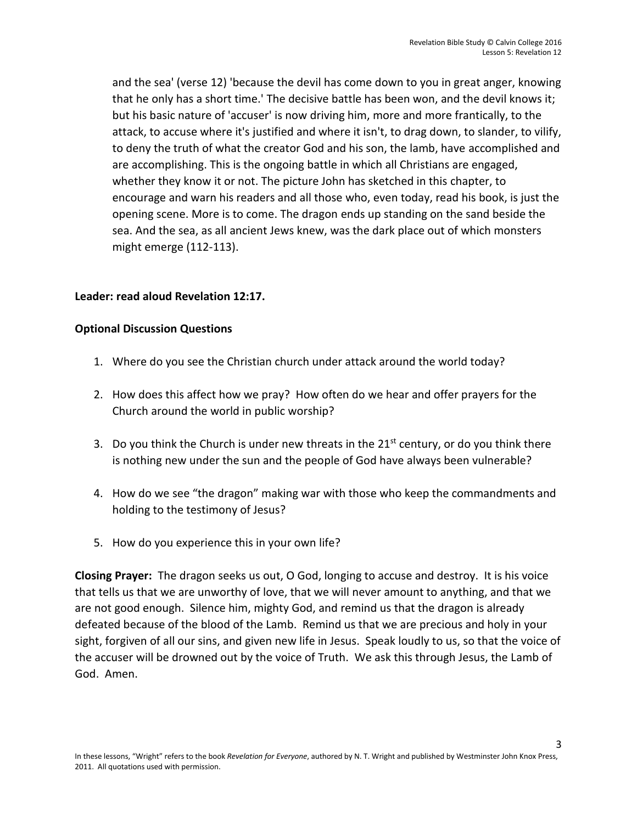and the sea' (verse 12) 'because the devil has come down to you in great anger, knowing that he only has a short time.' The decisive battle has been won, and the devil knows it; but his basic nature of 'accuser' is now driving him, more and more frantically, to the attack, to accuse where it's justified and where it isn't, to drag down, to slander, to vilify, to deny the truth of what the creator God and his son, the lamb, have accomplished and are accomplishing. This is the ongoing battle in which all Christians are engaged, whether they know it or not. The picture John has sketched in this chapter, to encourage and warn his readers and all those who, even today, read his book, is just the opening scene. More is to come. The dragon ends up standing on the sand beside the sea. And the sea, as all ancient Jews knew, was the dark place out of which monsters might emerge (112-113).

## **Leader: read aloud Revelation 12:17.**

## **Optional Discussion Questions**

- 1. Where do you see the Christian church under attack around the world today?
- 2. How does this affect how we pray? How often do we hear and offer prayers for the Church around the world in public worship?
- 3. Do you think the Church is under new threats in the  $21^{st}$  century, or do you think there is nothing new under the sun and the people of God have always been vulnerable?
- 4. How do we see "the dragon" making war with those who keep the commandments and holding to the testimony of Jesus?
- 5. How do you experience this in your own life?

**Closing Prayer:** The dragon seeks us out, O God, longing to accuse and destroy. It is his voice that tells us that we are unworthy of love, that we will never amount to anything, and that we are not good enough. Silence him, mighty God, and remind us that the dragon is already defeated because of the blood of the Lamb. Remind us that we are precious and holy in your sight, forgiven of all our sins, and given new life in Jesus. Speak loudly to us, so that the voice of the accuser will be drowned out by the voice of Truth. We ask this through Jesus, the Lamb of God. Amen.